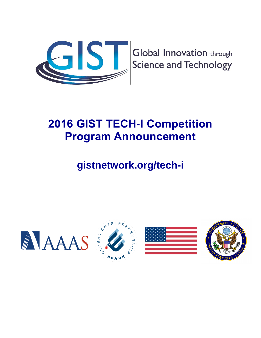

**Global Innovation through Science and Technology** 

# **2016 GIST TECH-I Competition Program Announcement**

# **gistnetwork.org/tech-i**







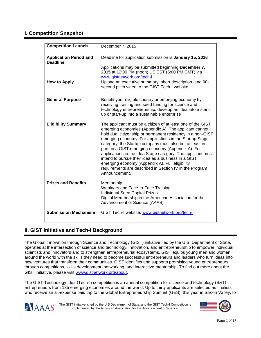# **I. Competition Snapshot**

| <b>Competition Launch</b>                        | December 7, 2015                                                                                                                                                                                                                                                                                                                                                                                                                                                                                                                                                                                                    |
|--------------------------------------------------|---------------------------------------------------------------------------------------------------------------------------------------------------------------------------------------------------------------------------------------------------------------------------------------------------------------------------------------------------------------------------------------------------------------------------------------------------------------------------------------------------------------------------------------------------------------------------------------------------------------------|
| <b>Application Period and</b><br><b>Deadline</b> | Deadline for application submission is January 15, 2016                                                                                                                                                                                                                                                                                                                                                                                                                                                                                                                                                             |
|                                                  | Applications may be submitted beginning December 7,<br>2015 at 12:00 PM (noon) US EST (5:00 PM GMT) via<br>www.gistnetwork.org/tech-i                                                                                                                                                                                                                                                                                                                                                                                                                                                                               |
| <b>How to Apply</b>                              | Upload an executive summary, short description, and 90-<br>second pitch video to the GIST Tech-I website.                                                                                                                                                                                                                                                                                                                                                                                                                                                                                                           |
| <b>General Purpose</b>                           | Benefit your eligible country or emerging economy by<br>receiving training and seed funding for science and<br>technology entrepreneurship: develop an idea into a start-<br>up or start-up into a sustainable enterprise                                                                                                                                                                                                                                                                                                                                                                                           |
| <b>Eligibility Summary</b>                       | The applicant must be a citizen of at least one of the GIST<br>emerging economies (Appendix A). The applicant cannot<br>hold dual citizenship or permanent residency in a non-GIST<br>emerging economy. For applications in the Startup Stage<br>category: the Startup company must also be, at least in<br>part, in a GIST emerging economy (Appendix A). For<br>applications in the Idea Stage category: The applicant must<br>intend to pursue their idea as a business in a GIST<br>emerging economy (Appendix A). Full eligibility<br>requirements are described in Section IV in the Program<br>Announcement. |
| <b>Prizes and Benefits</b>                       | Mentorship<br>Webinars and Face-to-Face Training<br><b>Individual Seed Capital Prizes</b><br>Digital Membership in the American Association for the<br>Advancement of Science (AAAS)                                                                                                                                                                                                                                                                                                                                                                                                                                |
| <b>Submission Mechanism</b>                      | GIST Tech-I website: www.gistnetwork.org/tech-i                                                                                                                                                                                                                                                                                                                                                                                                                                                                                                                                                                     |

# **II. GIST Initiative and Tech-I Background**

The Global Innovation through Science and Technology (GIST) initiative, led by the U.S. Department of State, operates at the intersection of science and technology, innovation, and entrepreneurship to empower individual scientists and innovators and to strengthen entrepreneurial ecosystems. GIST equips young men and women around the world with the skills they need to become successful entrepreneurs and leaders who turn ideas into new ventures that transform their communities. GIST identifies and supports promising young entrepreneurs through competitions, skills development, networking, and interactive mentorship. To find out more about the GIST initiative, please visit [www.gistnetwork.org/about](http://www.gistnetwork.org/about).

The GIST Technology Idea (Tech-I) competition is an annual competition for science and technology (S&T) entrepreneurs from 135 emerging economies around the world. Up to thirty applicants are selected as finalists who receive an all-expense paid trip to the Global Entrepreneurship Summit (GES), this year in Silicon Valley, to



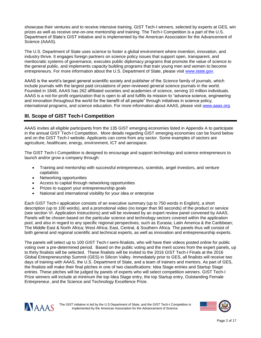showcase their ventures and to receive intensive training. GIST Tech-I winners, selected by experts at GES, win prizes as well as receive one-on-one mentorship and training. The Tech-I Competition is a part of the U.S. Department of State's GIST initiative and is implemented by the American Association for the Advancement of Science (AAAS).

The U.S. Department of State uses science to foster a global environment where invention, innovation, and industry thrive. It engages foreign partners on science policy issues that support open, transparent, and meritocratic systems of governance, executes public diplomacy programs that promote the value of science to the general public, and implements capacity building programs that train young men and women to become entrepreneurs. For more information about the U.S. Department of State, please visit [www.state.gov.](http://www.state.gov/)

AAAS is the world's largest general scientific society and publisher of the *Science* family of journals, which include journals with the largest paid circulations of peer-reviewed general science journals in the world. Founded in 1848, AAAS has 262 affiliated societies and academies of science, serving 10 million individuals. AAAS is a not-for-profit organization that is open to all and fulfills its mission to "advance science, engineering and innovation throughout the world for the benefit of all people" through initiatives in science policy, international programs, and science education. For more information about AAAS, please visit [www.aaas.org.](http://www.aaas.org/)

# **III. Scope of GIST Tech-I Competition**

AAAS invites all eligible participants from the 135 GIST emerging economies listed in Appendix A to participate in the annual GIST Tech-I Competition. More details regarding GIST emerging economies can be found below and on the GIST Tech-I website. Applicants can come from any sector. Some examples of sectors are agriculture, healthcare, energy, environment, ICT and aerospace.

The GIST Tech-I Competition is designed to encourage and support technology and science entrepreneurs to launch and/or grow a company through:

- Training and mentorship with successful entrepreneurs, scientists, angel investors, and venture capitalists
- Networking opportunities
- Access to capital through networking opportunities
- Prizes to support your entrepreneurship goals
- National and international visibility for your idea or enterprise

Each GIST Tech-I application consists of an executive summary (up to 750 words in English), a short description (up to 100 words), and a promotional video (no longer than 90 seconds) of the product or service (see section VI. Application Instructions) and will be reviewed by an expert review panel convened by AAAS. Panels will be chosen based on the particular science and technology sectors covered within the application pool, and also in regard to any specific regional perspectives, such as Eurasia; Latin America & the Caribbean; The Middle East & North Africa; West Africa; East, Central, & Southern Africa. The panels thus will consist of both general and regional scientific and technical experts, as well as innovation and entrepreneurship experts.

The panels will select up to 100 GIST Tech-I semi-finalists, who will have their videos posted online for public voting over a pre-determined period. Based on the public voting and the merit scores from the expert panels, up to thirty finalists will be selected. These finalists will be invited to the 2016 GIST Tech-I Finals at the 2016 Global Entrepreneurship Summit (GES) in Silicon Valley. Immediately prior to GES, all finalists will receive two days of training with AAAS, the U.S. Department of State, and a team of trainers and mentors. As part of GES, the finalists will make their final pitches in one of two classifications: Idea Stage entries and Startup Stage entries. These pitches will be judged by panels of experts who will select competition winners. GIST Tech-I Prize winners will include at minimum the top Idea Stage entry, the top Startup entry, Outstanding Female Entrepreneur, and the Science and Technology Excellence Prize.



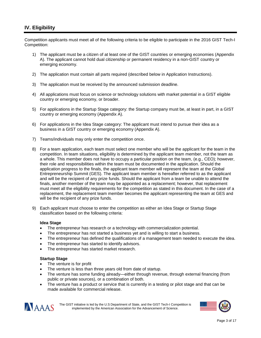# **IV. Eligibility**

Competition applicants must meet all of the following criteria to be eligible to participate in the 2016 GIST Tech-I Competition:

- 1) The applicant must be a citizen of at least one of the GIST countries or emerging economies (Appendix A). The applicant cannot hold dual citizenship or permanent residency in a non-GIST country or emerging economy.
- 2) The application must contain all parts required (described below in Application Instructions).
- 3) The application must be received by the announced submission deadline.
- 4) All applications must focus on science or technology solutions with market potential in a GIST eligible country or emerging economy, or broader.
- 5) For applications in the Startup Stage category: the Startup company must be, at least in part, in a GIST country or emerging economy (Appendix A).
- 6) For applications in the Idea Stage category: The applicant must intend to pursue their idea as a business in a GIST country or emerging economy (Appendix A).
- 7) Teams/individuals may only enter the competition once.
- 8) For a team application, each team must select one member who will be the applicant for the team in the competition. In team situations, eligibility is determined by the applicant team member, not the team as a whole. This member does not have to occupy a particular position on the team, (e.g., CEO); however, their role and responsibilities within the team must be documented in the application. Should the application progress to the finals, the applicant team member will represent the team at the Global Entrepreneurship Summit (GES). The applicant team member is hereafter referred to as the applicant and will be the recipient of any prize funds. Should the applicant from a team be unable to attend the finals, another member of the team may be appointed as a replacement; however, that replacement must meet all the eligibility requirements for the competition as stated in this document. In the case of a replacement, the replacement team member becomes the applicant representing the team at GES and will be the recipient of any prize funds.
- 9) Each applicant must choose to enter the competition as either an Idea Stage or Startup Stage classification based on the following criteria:

#### **Idea Stage**

- The entrepreneur has research or a technology with commercialization potential.
- The entrepreneur has not started a business yet and is willing to start a business.
- The entrepreneur has defined the qualifications of a management team needed to execute the idea.
- The entrepreneur has started to identify advisors.
- The entrepreneur has started market research.

#### **Startup Stage**

- The venture is for profit
- The venture is less than three years old from date of startup.
- The venture has some funding already—either through revenue, through external financing (from public or private sources), or a combination of both.
- The venture has a product or service that is currently in a testing or pilot stage and that can be made available for commercial release.



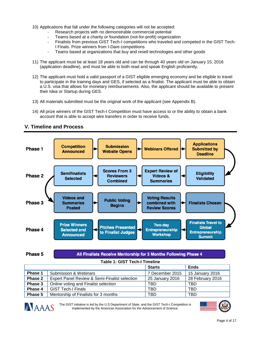- 10) Applications that fall under the following categories will not be accepted:
	- Research projects with no demonstrable commercial potential
	- Teams based at a charity or foundation (not-for-profit) organization
	- Finalists from previous GIST Tech-I competitions who traveled and competed in the GIST Tech-I Finals. Prize winners from I-Dare competitions
	- Teams based at organizations that buy and resell technologies and other goods
- 11) The applicant must be at least 18 years old and can be through 40 years old on January 15, 2016 (application deadline), and must be able to both read and speak English proficiently.
- 12) The applicant must hold a valid passport of a GIST eligible emerging economy and be eligible to travel to participate in the training days and GES, if selected as a finalist. The applicant must be able to obtain a U.S. visa that allows for monetary reimbursements. Also, the applicant should be available to present their Idea or Startup during GES.
- 13) All materials submitted must be the original work of the applicant (see Appendix B).
- 14) All prize winners of the GIST Tech-I Competition must have access to or the ability to obtain a bank account that is able to accept wire transfers in order to receive funds.



## **V. Timeline and Process**

All Finalists Receive Mentorship for 3 Months Following Phase 4

**Table 1: GIST Tech-I Timeline**

|         |                                               | <b>Starts</b>   | <b>Ends</b>      |  |
|---------|-----------------------------------------------|-----------------|------------------|--|
| Phase 1 | <b>Submission &amp; Webinars</b>              | 7 December 2015 | 15 January 2016  |  |
| Phase 2 | Expert Panel Review & Semi-Finalist selection | 25 January 2016 | 28 February 2016 |  |
| Phase 3 | Online voting and Finalist selection          | TBD             | <b>TBD</b>       |  |
| Phase 4 | <b>GIST Tech-I Finals</b>                     | <b>TBD</b>      | <b>TBD</b>       |  |
| Phase 5 | Mentorship of Finalists for 3 months          | TBD             | <b>TBD</b>       |  |



Phase 5

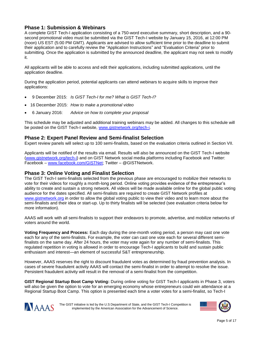## **Phase 1: Submission & Webinars**

A complete GIST Tech-I application consisting of a 750-word executive summary, short description, and a 90 second promotional video must be submitted via the GIST Tech-I website by January 15, 2016, at 12:00 PM (noon) US EST (5:00 PM GMT). Applicants are advised to allow sufficient time prior to the deadline to submit their application and to carefully review the "Application Instructions" and "Evaluation Criteria" prior to submitting. Once the application is submitted by the announced deadline, the applicant may not seek to modify it.

All applicants will be able to access and edit their applications, including submitted applications, until the application deadline.

During the application period, potential applicants can attend webinars to acquire skills to improve their applications:

- 9 December 2015: *Is GIST Tech-I for me? What is GIST Tech-I?*
- 16 December 2015: *How to make a promotional video*
- 6 January 2016: *Advice on how to complete your proposal*

This schedule may be adjusted and additional training webinars may be added. All changes to this schedule will be posted on the GIST Tech-I website, [www.gistnetwork.org/tech-i.](http://www.gistnetwork.org/tech-i)

#### **Phase 2: Expert Panel Review and Semi-finalist Selection**

Expert review panels will select up to 100 semi-finalists, based on the evaluation criteria outlined in Section VII.

Applicants will be notified of the results via email. Results will also be announced on the GIST Tech-I website [\(www.gistnetwork.org/tech-i\)](http://www.gistnetwork.org/tech-i) and on GIST Network social media platforms including Facebook and Twitter: Facebook – [www.facebook.com/GISTNet;](http://www.facebook.com/GISTNet) Twitter – @GISTNetwork.

### **Phase 3: Online Voting and Finalist Selection**

The GIST Tech-I semi-finalists selected from the previous phase are encouraged to mobilize their networks to vote for their videos for roughly a month-long period. Online voting provides evidence of the entrepreneur's ability to create and sustain a strong network. All videos will be made available online for the global public voting audience for the dates specified. All semi-finalists are required to create GIST Network profiles at [www.gistnetwork.org](http://www.gistnetwork.org/) in order to allow the global voting public to view their video and to learn more about the semi-finalists and their idea or start-up. Up to thirty finalists will be selected (see evaluation criteria below for more information).

AAAS will work with all semi-finalists to support their endeavors to promote, advertise, and mobilize networks of voters around the world.

**Voting Frequency and Process:** Each day during the one-month voting period, a person may cast one vote each for any of the semi-finalists. For example, the voter can cast one vote each for several different semifinalists on the same day. After 24 hours, the voter may vote again for any number of semi-finalists. This regulated repetition in voting is allowed in order to encourage Tech-I applicants to build and sustain public enthusiasm and interest—an element of successful S&T entrepreneurship.

However, AAAS reserves the right to discount fraudulent votes as determined by fraud prevention analysis. In cases of severe fraudulent activity AAAS will contact the semi-finalist in order to attempt to resolve the issue. Persistent fraudulent activity will result in the removal of a semi-finalist from the competition.

**GIST Regional Startup Boot Camp Voting:** During online voting for GIST Tech-I applicants in Phase 3, voters will also be given the option to vote for an emerging economy whose entrepreneurs could win attendance at a Regional Startup Boot Camp. This option is presented each time a voter votes for a semi-finalist, so Tech-I



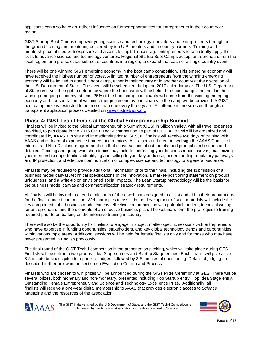applicants can also have an indirect influence on further opportunities for entrepreneurs in their country or region.

GIST Startup Boot Camps empower young science and technology innovators and entrepreneurs through onthe-ground training and mentoring delivered by top U.S. mentors and in-country partners. Training and mentorship, combined with exposure and access to capital, encourage entrepreneurs to confidently apply their skills to advance science and technology ventures. Regional Startup Boot Camps accept entrepreneurs from the local region, or a pre-selected sub-set of countries in a region, to expand the reach of a single country event.

There will be one winning GIST emerging economy in the boot camp competition. This emerging economy will have received the highest number of votes. A limited number of entrepreneurs from the winning emerging economy will be invited to attend a boot camp, either in their country or in another country at the discretion of the U.S. Department of State. The event will be scheduled during the 2017 calendar year. The U.S. Department of State reserves the right to determine where the boot camp will be held. If the boot camp is not held in the winning emerging economy, at least 25% of the boot camp participants will come from the winning emerging economy and transportation of winning emerging economy participants to the camp will be provided. A GIST boot camp prize is restricted to not more than one every three years. All attendees are selected through a transparent application process detailed on [www.gistnetwork.org.](http://www.gistnetwork.org/)

### **Phase 4: GIST Tech-I Finals at the Global Entrepreneurship Summit**

Finalists will be invited to the Global Entrepreneurship Summit (GES) in Silicon Valley, with all travel expenses provided, to participate in the 2016 GIST Tech-I competition as part of GES. All travel will be organized and coordinated by AAAS. On site and immediately prior to GES, all finalists will receive two days of training with AAAS and its team of experience trainers and mentors. All trainers and mentors will sign the AAAS Conflict of Interest and Non-Disclosure agreements so that conversations about the planned product can be open and detailed. Training and group workshop topics may include: perfecting your business model canvas, maximizing your mentorship opportunities, identifying and selling to your key audience, understanding regulatory pathways and IP protection, and effective communication of complex science and technology to a general audience.

Finalists may be required to provide additional information prior to the finals, including the submission of a business model canvas, technical specifications of the innovation, a market-positioning statement on product uniqueness, and a write-up on envisioned social impacts. The Lean Startup Methodology will be the basis for the business model canvas and commercialization strategy requirements.

All finalists will be invited to attend a minimum of three webinars designed to assist and aid in their preparations for the final round of competition. Webinar topics to assist in the development of such materials will include the key components of a business model canvas, effective communication with potential funders, technical writing for entrepreneurs, and the elements of an effective business pitch. The webinars form the pre-requisite training required prior to embarking on the intensive training in country.

There will also be the opportunity for finalists to engage in subject matter-specific sessions with entrepreneurs who have expertise in funding opportunities, stakeholders, and key global technology trends and opportunities within various topic areas. Additional sessions will be held for female finalists only and for those who may have never presented in English previously.

The final round of the GIST Tech-I competition is the presentation pitching, which will take place during GES. Finalists will be split into two groups: Idea Stage entries and Startup Stage entries. Each finalist will give a live, 3-5 minute business pitch to a panel of judges, followed by 3-5 minutes of questioning. Details of judging are described further below in the section on Evaluation Criteria and Process.

Finalists who are chosen to win prizes will be announced during the GIST Prize Ceremony at GES. There will be several prizes, both monetary and non-monetary, presented including Top Startup entry, Top Idea Stage entry, Outstanding Female Entrepreneur, and Science and Technology Excellence Prize. Additionally, all finalists will receive a one-year digital membership to AAAS that provides electronic access to *Science* Magazine and the resources of the association.



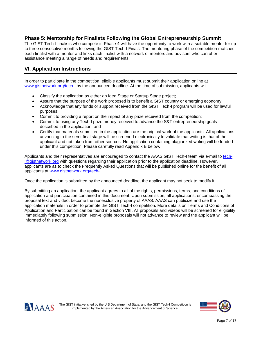# **Phase 5: Mentorship for Finalists Following the Global Entrepreneurship Summit**

The GIST Tech-I finalists who compete in Phase 4 will have the opportunity to work with a suitable mentor for up to three consecutive months following the GIST Tech-I Finals. The mentoring phase of the competition matches each finalist with a mentor and links each finalist with a network of mentors and advisors who can offer assistance meeting a range of needs and requirements.

# **VI. Application Instructions**

In order to participate in the competition, eligible applicants must submit their application online at [www.gistnetwork.org/tech-i](http://www.gistnetwork.org/tech-i) by the announced deadline. At the time of submission, applicants will

- Classify the application as either an Idea Stage or Startup Stage project;
- Assure that the purpose of the work proposed is to benefit a GIST country or emerging economy;
- Acknowledge that any funds or support received from the GIST Tech-I program will be used for lawful purposes;
- Commit to providing a report on the impact of any prize received from the competition;
- Commit to using any Tech-I prize money received to advance the S&T entrepreneurship goals described in the application; and
- Certify that materials submitted in the application are the original work of the applicants. All applications advancing to the semi-final stage will be screened electronically to validate that writing is that of the applicant and not taken from other sources. No application containing plagiarized writing will be funded under this competition. Please carefully read Appendix B below.

Applicants and their representatives are encouraged to contact the AAAS GIST Tech-I team via e-mail to [tech](mailto:tech-i@gistnetwork.org)[i@gistnetwork.org](mailto:tech-i@gistnetwork.org) with questions regarding their application prior to the application deadline. However, applicants are as to check the Frequently Asked Questions that will be published online for the benefit of all applicants at [www.gistnetwork.org/tech-i](http://www.gistnetwork.org/tech-i)

Once the application is submitted by the announced deadline, the applicant may not seek to modify it.

By submitting an application, the applicant agrees to all of the rights, permissions, terms, and conditions of application and participation contained in this document. Upon submission, all applications, encompassing the proposal text and video, become the nonexclusive property of AAAS. AAAS can publicize and use the application materials in order to promote the GIST Tech-I competition. More details on Terms and Conditions of Application and Participation can be found in Section VIII. All proposals and videos will be screened for eligibility immediately following submission. Non-eligible proposals will not advance to review and the applicant will be informed of this action.



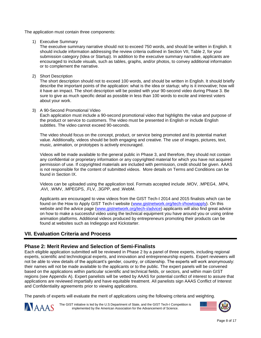The application must contain three components:

1) Executive Summary

The executive summary narrative should not to exceed 750 words, and should be written in English. It should include information addressing the review criteria outlined in Section VII, Table 2, for your submission category (Idea or Startup). In addition to the executive summary narrative, applicants are encouraged to include visuals, such as tables, graphs, and/or photos, to convey additional information or to complement the narrative.

2) Short Description

The short description should not to exceed 100 words, and should be written in English. It should briefly describe the important points of the application: what is the idea or startup; why is it innovative; how will it have an impact. The short description will be posted with your 90-second video during Phase 3. Be sure to give as much specific detail as possible in less than 100 words to excite and interest voters about your work.

#### 3) A 90-Second Promotional Video

Each application must include a 90-second promotional video that highlights the value and purpose of the product or service to customers. The video must be presented in English or include English subtitles. The video cannot exceed 90-seconds.

The video should focus on the concept, product, or service being promoted and its potential market value. Additionally, videos should be both engaging and creative. The use of images, pictures, text, music, animation, or prototypes is actively encouraged.

Videos will be made available to the general public in Phase 3, and therefore, they should not contain any confidential or proprietary information or any copyrighted material for which you have not acquired permission of use. If copyrighted materials are included with permission, credit should be given. AAAS is not responsible for the content of submitted videos. More details on Terms and Conditions can be found in Section IX.

Videos can be uploaded using the application tool. Formats accepted include .MOV, .MPEG4, .MP4, .AVI, .WMV, .MPEGPS, .FLV, .3GPP, and .WebM.

Applicants are encouraged to view videos from the GIST Tech-I 2014 and 2015 finalists which can be found on the How to Apply GIST Tech-I website [\(www.gistnetwork.org/tech-i/howtoapply\)](http://www.gistnetwork.org/tech-i/howtoapply). On this website and the advice page [\(www.gistnetwork.org/tech-i/advice\)](http://www.gistnetwork.org/tech-i/advice) applicants will also find great advice on how to make a successful video using the technical equipment you have around you or using online animation platforms. Additional videos produced by entrepreneurs promoting their products can be found at websites such as Indiegogo and Kickstarter.

## **VII. Evaluation Criteria and Process**

### **Phase 2: Merit Review and Selection of Semi-Finalists**

Each eligible application submitted will be reviewed in Phase 2 by a panel of three experts, including regional experts, scientific and technological experts, and innovation and entrepreneurship experts. Expert reviewers will not be able to view details of the applicant's gender, country, or citizenship. The experts will work anonymously: their names will not be made available to the applicants or to the public. The expert panels will be convened based on the applications within particular scientific and technical fields, or sectors, and within main GIST regions (see Appendix A). Expert panelists will be vetted by AAAS for potential conflict of interest to assure that applications are reviewed impartially and have equitable treatment. All panelists sign AAAS Conflict of Interest and Confidentiality agreements prior to viewing applications.

The panels of experts will evaluate the merit of applications using the following criteria and weighting.



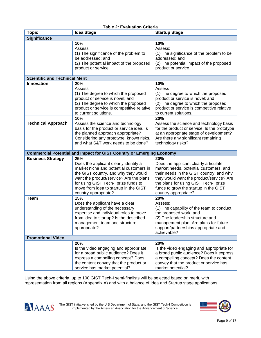| <b>Topic</b>                                                                | <b>Idea Stage</b>                                                       | <b>Startup Stage</b>                                        |  |  |
|-----------------------------------------------------------------------------|-------------------------------------------------------------------------|-------------------------------------------------------------|--|--|
| <b>Significance</b>                                                         |                                                                         |                                                             |  |  |
|                                                                             | 10%                                                                     | 10%                                                         |  |  |
|                                                                             | Assess:                                                                 | Assess:                                                     |  |  |
|                                                                             | (1) The significance of the problem to                                  | (1) The significance of the problem to be                   |  |  |
|                                                                             | be addressed; and                                                       | addressed; and                                              |  |  |
|                                                                             | (2) The potential impact of the proposed                                | (2) The potential impact of the proposed                    |  |  |
|                                                                             | product or service.                                                     | product or service.                                         |  |  |
|                                                                             |                                                                         |                                                             |  |  |
| <b>Scientific and Technical Merit</b>                                       |                                                                         |                                                             |  |  |
| <b>Innovation</b>                                                           | 20%                                                                     | 10%                                                         |  |  |
|                                                                             | Assess                                                                  | Assess                                                      |  |  |
|                                                                             | (1) The degree to which the proposed                                    | (1) The degree to which the proposed                        |  |  |
|                                                                             | product or service is novel; and                                        | product or service is novel; and                            |  |  |
|                                                                             | (2) The degree to which the proposed                                    | (2) The degree to which the proposed                        |  |  |
|                                                                             | product or service is competitive relative                              | product or service is competitive relative                  |  |  |
|                                                                             | to current solutions.                                                   | to current solutions.                                       |  |  |
|                                                                             | 10%                                                                     | 20%                                                         |  |  |
| <b>Technical Approach</b>                                                   | Assess the science and technology                                       | Assess the science and technology basis                     |  |  |
|                                                                             | basis for the product or service idea. Is                               | for the product or service. Is the prototype                |  |  |
|                                                                             | the planned approach appropriate?                                       | at an appropriate stage of development?                     |  |  |
|                                                                             | Considering any prototype, known risks,                                 | Are there any significant remaining                         |  |  |
|                                                                             | and what S&T work needs to be done?                                     | technology risks?                                           |  |  |
|                                                                             |                                                                         |                                                             |  |  |
| <b>Commercial Potential and Impact for GIST Country or Emerging Economy</b> |                                                                         |                                                             |  |  |
|                                                                             |                                                                         |                                                             |  |  |
| <b>Business Strategy</b>                                                    | 25%                                                                     | 20%                                                         |  |  |
|                                                                             | Does the applicant clearly identify a                                   | Does the applicant clearly articulate                       |  |  |
|                                                                             | market niche and potential customers in                                 | market needs, potential customers, and                      |  |  |
|                                                                             | the GIST country, and why they would                                    | their needs in the GIST country, and why                    |  |  |
|                                                                             | want the product/service? Are the plans                                 | they would want the product/service? Are                    |  |  |
|                                                                             | for using GIST Tech-I prize funds to                                    | the plans for using GIST Tech-I prize                       |  |  |
|                                                                             | move from idea to startup in the GIST                                   | funds to grow the startup in the GIST                       |  |  |
|                                                                             | country appropriate?                                                    | country appropriate?                                        |  |  |
| <b>Team</b>                                                                 | 15%                                                                     | 20%                                                         |  |  |
|                                                                             | Does the applicant have a clear                                         | Assess:                                                     |  |  |
|                                                                             | understanding of the necessary                                          | (1) The capability of the team to conduct                   |  |  |
|                                                                             | expertise and individual roles to move                                  | the proposed work; and                                      |  |  |
|                                                                             | from idea to startup? Is the described                                  | (2) The leadership structure and                            |  |  |
|                                                                             | management team and structure                                           | management plan. Are plans for future                       |  |  |
|                                                                             | appropriate?                                                            | support/partnerships appropriate and                        |  |  |
|                                                                             |                                                                         | achievable?                                                 |  |  |
| <b>Promotional Video</b>                                                    |                                                                         |                                                             |  |  |
|                                                                             | 20%                                                                     | 20%                                                         |  |  |
|                                                                             | Is the video engaging and appropriate                                   | Is the video engaging and appropriate for                   |  |  |
|                                                                             | for a broad public audience? Does it                                    | a broad public audience? Does it express                    |  |  |
|                                                                             | express a compelling concept? Does                                      | a compelling concept? Does the content                      |  |  |
|                                                                             | the content convey that the product or<br>service has market potential? | convey that the product or service has<br>market potential? |  |  |

## **Table 2: Evaluation Criteria**

Using the above criteria, up to 100 GIST Tech-I semi-finalists will be selected based on merit, with representation from all regions (Appendix A) and with a balance of Idea and Startup stage applications.



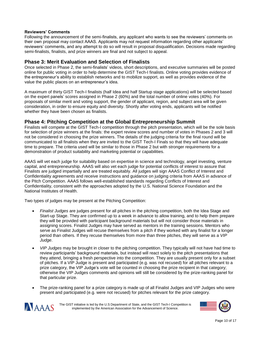#### **Reviewers' Comments**

Following the announcement of the semi-finalists, any applicant who wants to see the reviewers' comments on their own proposal may contact AAAS. Applicants may not request information regarding other applicants' reviewers' comments, and any attempt to do so will result in proposal disqualification. Decisions made regarding semi-finalists, finalists, and prize winners are final and not subject to appeal.

#### **Phase 3: Merit Evaluation and Selection of Finalists**

Once selected in Phase 2, the semi-finalists' videos, short descriptions, and executive summaries will be posted online for public voting in order to help determine the GIST Tech-I finalists. Online voting provides evidence of the entrepreneur's ability to establish networks and to mobilize support, as well as provides evidence of the value the public places on an entrepreneur's idea.

A maximum of thirty GIST Tech-I finalists (half Idea and half Startup stage applications) will be selected based on the expert panels' scores assigned in Phase 2 (60%) and the total number of online votes (40%). For proposals of similar merit and voting support, the gender of applicant, region, and subject area will be given consideration, in order to ensure equity and diversity. Shortly after voting ends, applicants will be notified whether they have been chosen as finalists.

#### **Phase 4: Pitching Competition at the Global Entrepreneurship Summit**

Finalists will compete at the GIST Tech-I competition through the pitch presentation, which will be the sole basis for selection of prize winners at the finals: the expert review scores and number of votes in Phases 2 and 3 will not be considered in choosing the prize winners. The details of the judging criteria for the final round will be communicated to all finalists when they are invited to the GIST Tech-I Finals so that they will have adequate time to prepare. The criteria used will be similar to those in Phase 2 but with stronger requirements for a demonstration of product suitability and marketing potential or capabilities.

AAAS will vet each judge for suitability based on expertise in science and technology, angel investing, venture capital, and entrepreneurship. AAAS will also vet each judge for potential conflicts of interest to assure that Finalists are judged impartially and are treated equitably. All judges will sign AAAS Conflict of Interest and Confidentiality agreements and receive instructions and guidance on judging criteria from AAAS in advance of the Pitch Competition. AAAS follows well-established standards regarding Conflicts of Interest and Confidentiality, consistent with the approaches adopted by the U.S. National Science Foundation and the National Institutes of Health.

Two types of judges may be present at the Pitching Competition:

- *Finalist Judges* are judges present for all pitches in the pitching competition, both the Idea Stage and Start-up Stage. They are confirmed up to a week in advance to allow training, and to help them prepare they will be provided with participant background materials but will not consider those materials in assigning scores. Finalist Judges may have served as mentors in the training sessions. Mentors who serve as Finalist Judges will recuse themselves from a pitch if they worked with any finalist for a longer period than others. If they recuse themselves from more than three pitches, they will serve as a *VIP Judge*.
- *VIP Judges* may be brought in closer to the pitching competition. They typically will not have had time to review participants' background materials, but instead will react solely to the pitch presentations that they attend, bringing a fresh perspective into the competition. They are usually present only for a subset of pitches. If a VIP Judge is present and participated (e.g. was not recused) for all pitches relevant to a prize category, the VIP Judge's vote will be counted in choosing the prize recipient in that category; otherwise the VIP Judges comments and opinions will still be considered by the prize-ranking panel for that particular prize.
- The prize-ranking panel for a prize category is made up of all Finalist Judges and VIP Judges who were present and participated (e.g. were not recused) for pitches relevant for the prize category.



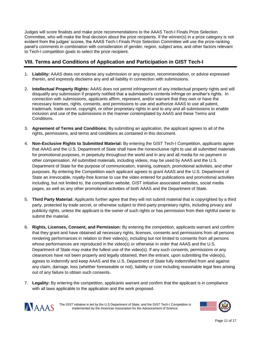Judges will score finalists and make prize recommendations to the AAAS Tech-I Finals Prize Selection Committee, who will make the final decision about the prize recipients. If the winner(s) in a prize category is not evident from the judges' scores, the AAAS Tech-I Finals Prize Selection Committee will use the prize-ranking panel's comments in combination with consideration of gender, region, subject area, and other factors relevant to Tech-I competition goals to select the prize recipient.

# **VIII. Terms and Conditions of Application and Participation in GIST Tech-I**

- 1. **Liability:** AAAS does not endorse any submission or any opinion, recommendation, or advice expressed therein, and expressly disclaims any and all liability in connection with submissions.
- 2. **Intellectual Property Rights:** AAAS does not permit infringement of any intellectual property rights and will disqualify any submission if properly notified that a submission's contents infringe on another's rights. In connection with submissions, applicants affirm, represent, and/or warrant that they own or have the necessary licenses, rights, consents, and permissions to use and authorize AAAS to use all patent, trademark, trade secret, copyright, or other proprietary rights in and to any and all submissions to enable inclusion and use of the submissions in the manner contemplated by AAAS and these Terms and Conditions.
- 3. **Agreement of Terms and Conditions:** By submitting an application, the applicant agrees to all of the rights, permissions, and terms and conditions as contained in this document.
- 4. **Non-Exclusive Rights to Submitted Material:** By entering the GIST Tech-I Competition, applicants agree that AAAS and the U.S. Department of State shall have the nonexclusive right to use all submitted materials for promotional purposes, in perpetuity throughout the world and in any and all media for no payment or other compensation. All submitted materials, including videos, may be used by AAAS and the U.S. Department of State for the purpose of communication, training, outreach, promotional activities, and other purposes. By entering the Competition each applicant agrees to grant AAAS and the U.S. Department of State an irrevocable, royalty-free license to use the video entered for publications and promotional activities including, but not limited to, the competition website, GIST initiative associated websites, social media pages, as well as any other promotional activities of both AAAS and the Department of State.
- 5. **Third Party Material:** Applicants further agree that they will not submit material that is copyrighted by a third party, protected by trade secret, or otherwise subject to third-party proprietary rights, including privacy and publicity rights, unless the applicant is the owner of such rights or has permission from their rightful owner to submit the material.
- 6. **Rights, Licenses, Consent, and Permission:** By entering the competition, applicants warrant and confirm that they grant and have obtained all necessary rights, licenses, consents and permissions from all persons rendering performances in relation to their video(s), including but not limited to consents from all persons whose performances are reproduced in the video(s) or otherwise in order that AAAS and the U.S. Department of State may make the fullest use of the video(s). If any such consents, permissions or any clearances have not been properly and legally obtained, then the entrant, upon submitting the video(s), agrees to indemnify and keep AAAS and the U.S. Department of State fully indemnified from and against any claim, damage, loss (whether foreseeable or not), liability or cost including reasonable legal fees arising out of any failure to obtain such consents.
- 7. **Legality:** By entering the competition, applicants warrant and confirm that the applicant is in compliance with all laws applicable to the application and the work proposed.



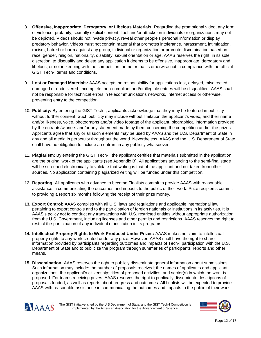- 8. **Offensive, Inappropriate, Derogatory, or Libelous Materials:** Regarding the promotional video, any form of violence, profanity, sexually explicit content, libel and/or attacks on individuals or organizations may not be depicted. Videos should not invade privacy, reveal other people's personal information or display predatory behavior. Videos must not contain material that promotes intolerance, harassment, intimidation, racism, hatred or harm against any group, individual or organization or promote discrimination based on race, gender, religion, nationality, disability, sexual orientation or age. AAAS reserves the right, in its sole discretion, to disqualify and delete any application it deems to be offensive, inappropriate, derogatory and libelous, or not in keeping with the competition theme or that is otherwise not in compliance with the official GIST Tech-I terms and conditions.
- 9. **Lost or Damaged Materials:** AAAS accepts no responsibility for applications lost, delayed, misdirected, damaged or undelivered. Incomplete, non-compliant and/or illegible entries will be disqualified. AAAS shall not be responsible for technical errors in telecommunications networks, Internet access or otherwise, preventing entry to the competition.
- 10. **Publicity:** By entering the GIST Tech-I, applicants acknowledge that they may be featured in publicity without further consent. Such publicity may include without limitation the applicant's video, and their name and/or likeness, voice, photographs and/or video footage of the applicant, biographical information provided by the entrants/winners and/or any statement made by them concerning the competition and/or the prizes. Applicants agree that any or all such elements may be used by AAAS and the U.S. Department of State in any and all media in perpetuity throughout the world. Nevertheless, AAAS and the U.S. Department of State shall have no obligation to include an entrant in any publicity whatsoever.
- 11. **Plagiarism:** By entering the GIST Tech-I, the applicant certifies that materials submitted in the application are the original work of the applicants (see Appendix B). All applications advancing to the semi-final stage will be screened electronically to validate that writing is that of the applicant and not taken from other sources. No application containing plagiarized writing will be funded under this competition.
- 12. **Reporting:** All applicants who advance to become Finalists commit to provide AAAS with reasonable assistance in communicating the outcomes and impacts to the public of their work. Prize recipients commit to providing a report six months following the receipt of their prize money.
- **13. Export Control:** AAAS complies with all U.S. laws and regulations and applicable international law pertaining to export controls and to the participation of foreign nationals or institutions in its activities. It is AAAS's policy not to conduct any transactions with U.S. restricted entities without appropriate authorization from the U.S. Government, including licenses and other permits and restrictions. AAAS reserves the right to restrict the participation of any individual or institution in its programs.
- **14. Intellectual Property Rights to Work Produced Under Prizes:** AAAS makes no claim to intellectual property rights to any work created under any prize. However, AAAS shall have the right to share information provided by participants regarding outcomes and impacts of Tech-I participation with the U.S. Department of State and to publicize the program through summaries of participants' reports and other means.
- **15. Dissemination:** AAAS reserves the right to publicly disseminate general information about submissions. Such information may include: the number of proposals received; the names of applicants and applicant organizations; the applicant's citizenship; titles of proposed activities; and sector(s) in which the work is proposed. For teams receiving prizes, AAAS reserves the right to publically disseminate descriptions of proposals funded, as well as reports about progress and outcomes. All finalists will be expected to provide AAAS with reasonable assistance in communicating the outcomes and impacts to the public of their work.



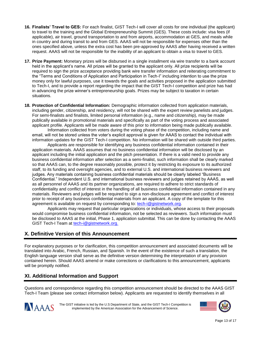- **16. Finalists' Travel to GES:** For each finalist, GIST Tech-I will cover all costs for one individual (the applicant) to travel to the training and the Global Entrepreneurship Summit (GES). These costs include: visa fees (if applicable), air travel, ground transportation to and from airports, accommodation at GES, and meals while in country and during transit to and from GES. AAAS will not be responsible for expenses other than the ones specified above, unless the extra cost has been pre-approved by AAAS after having received a written request. AAAS will not be responsible for the inability of an applicant to obtain a visa to travel to GES.
- **17. Prize Payment:** Monetary prizes will be disbursed in a single installment via wire transfer to a bank account held in the applicant's name. All prizes will be granted to the applicant only. All prize recipients will be required to sign the prize acceptance providing bank wire transfer information and reiterating commitment to the "Terms and Conditions of Application and Participation in Tech-I" including intention to use the prize money only for lawful purposes, use it towards the goals and activities proposed in the application submitted to Tech-I, and to provide a report regarding the impact that the GIST Tech-I competition and prize has had in advancing the prize winner's entrepreneurship goals. Prizes may be subject to taxation in certain situations.
- **18. Protection of Confidential Information:** Demographic information collected from application materials, including gender, citizenship, and residency, will not be shared with the expert review panelists and judges. For semi-finalists and finalists, limited personal information (e.g., name and citizenship), may be made publically available in promotional materials and specifically as part of the voting process and associated applicant profile. Applicants will be made aware of this prior to information being made publically available.

Information collected from voters during the voting phase of the competition, including name and email, will not be stored unless the voter's explicit approval is given for AAAS to contact the individual with information updates for the GIST Tech-I competition. No information will be shared with outside third parties.

Applicants are responsible for identifying any business confidential information contained in their application materials. AAAS assumes that no business confidential information will be disclosed by an applicant including the initial application and the pitch presentation. If there is a valid need to provide any business confidential information after selection as a semi-finalist, such information shall be clearly marked so that AAAS can, to the degree reasonably possible, protect it by restricting its exposure to its authorized staff, to its funding and oversight agencies, and to external U.S. and international business reviewers and judges. Any materials containing business confidential materials should be clearly labeled "Business Confidential." Independent U.S. and international business reviewers and judges retained by AAAS, as well as all personnel of AAAS and its partner organizations, are required to adhere to strict standards of confidentiality and conflict of interest in the handling of all business confidential information contained in any materials. Reviewers and judges will be required to sign a non-disclosure agreement and conflict of interest prior to receipt of any business confidential materials from an applicant. A copy of the template for this agreement is available on request by corresponding to: [tech-i@gistnetwork.org.](mailto:tech-i@gistnetwork.org)

Applicants may request that particular organizations or individuals, whose access to their proposals would compromise business confidential information, not be selected as reviewers. Such information must be disclosed to AAAS at the initial, Phase 1, application submittal. This can be done by contacting the AAAS GIST Tech-I Team at [tech-i@gistnetwork.org.](mailto:tech-i@gistnetwork.org)

# **X. Definitive Version of this Announcement**

For explanatory purposes or for clarification, this competition announcement and associated documents will be translated into Arabic, French, Russian, and Spanish. In the event of the existence of such a translation, the English language version shall serve as the definitive version determining the interpretation of any provision contained herein. Should AAAS amend or make corrections or clarifications to this announcement, applicants will be promptly notified.

# **XI. Additional Information and Support**

Questions and correspondence regarding this competition announcement should be directed to the AAAS GIST Tech-I Team (please see contact information below). Applicants are requested to identify themselves in all



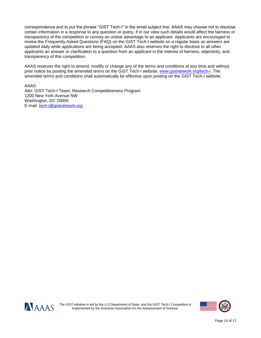correspondence and to put the phrase "GIST Tech-I" in the email subject line. AAAS may choose not to disclose certain information in a response to any question or query, if in our view such details would affect the fairness or transparency of the competition or convey an undue advantage to an applicant. Applicants are encouraged to review the Frequently Asked Questions (FAQ) on the GIST Tech-I website on a regular basis as answers are updated daily while applications are being accepted. AAAS also reserves the right to disclose to all other applicants an answer or clarification to a question from an applicant in the interest of fairness, objectivity, and transparency of this competition.

AAAS reserves the right to amend, modify or change any of the terms and conditions at any time and without prior notice by posting the amended terms on the GIST Tech-I website, [www.gistnetwork.org/tech-i.](http://www.gistnetwork.org/tech-i) The amended terms and conditions shall automatically be effective upon posting on the GIST Tech-I website.

AAAS

Attn: GIST Tech-I Team, Research Competitiveness Program 1200 New York Avenue NW Washington, DC 20005 E-mail: [tech-i@gistnetwork.org](mailto:tech-i@gistnetwork.org)



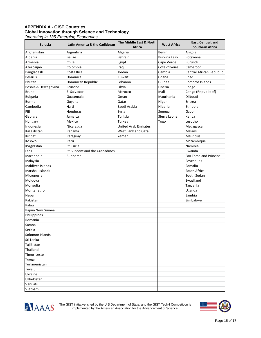## **APPENDIX A - GIST Countries Global Innovation through Science and Technology**

*Operating in 135 Emerging Economies*

| <b>Eurasia</b>       | Latin America & the Caribbean  | The Middle East & North     | <b>West Africa</b> | East, Central, and       |
|----------------------|--------------------------------|-----------------------------|--------------------|--------------------------|
|                      |                                | Africa                      |                    | <b>Southern Africa</b>   |
| Afghanistan          | Argentina                      | Algeria                     | Benin              | Angola                   |
| Albania              | Belize                         | Bahrain                     | Burkina Faso       | Botswana                 |
| Armenia              | Chile                          | Egypt                       | Cape Verde         | Burundi                  |
| Azerbaijan           | Colombia                       | Iraq                        | Cote d'Ivoire      | Cameroon                 |
| Bangladesh           | Costa Rica                     | Jordan                      | Gambia             | Central African Republic |
| <b>Belarus</b>       | Dominica                       | Kuwait                      | Ghana              | Chad                     |
| Bhutan               | Dominican Republic             | Lebanon                     | Guinea             | Comoros Islands          |
| Bosnia & Herzegovina | Ecuador                        | Libya                       | Liberia            | Congo                    |
| <b>Brunei</b>        | El Salvador                    | Morocco                     | Mali               | Congo (Republic of)      |
| <b>Bulgaria</b>      | Guatemala                      | Oman                        | Mauritania         | Djibouti                 |
| <b>Burma</b>         | Guyana                         | Qatar                       | Niger              | Eritrea                  |
| Cambodia             | Haiti                          | Saudi Arabia                | Nigeria            | Ethiopia                 |
| Fiji                 | Honduras                       | Syria                       | Senegal            | Gabon                    |
| Georgia              | Jamaica                        | Tunisia                     | Sierra Leone       | Kenya                    |
| Hungary              | Mexico                         | Turkey                      | Togo               | Lesotho                  |
| Indonesia            | Nicaragua                      | <b>United Arab Emirates</b> |                    | Madagascar               |
| Kazakhstan           | Panama                         | West Bank and Gaza          |                    | Malawi                   |
| Kiribati             | Paraguay                       | Yemen                       |                    | Mauritius                |
| Kosovo               | Peru                           |                             |                    | Mozambique               |
| Kyrgyzstan           | St. Lucia                      |                             |                    | Namibia                  |
| Laos                 | St. Vincent and the Grenadines |                             |                    | Rwanda                   |
| Macedonia            | Suriname                       |                             |                    | Sao Tome and Principe    |
| Malaysia             |                                |                             |                    | Seychelles               |
| Maldives Islands     |                                |                             |                    | Somalia                  |
| Marshall Islands     |                                |                             |                    | South Africa             |
| Micronesia           |                                |                             |                    | South Sudan              |
| Moldova              |                                |                             |                    | Swaziland                |
| Mongolia             |                                |                             |                    | Tanzania                 |
| Montenegro           |                                |                             |                    | Uganda                   |
| Nepal                |                                |                             |                    | Zambia                   |
| Pakistan             |                                |                             |                    | Zimbabwe                 |
| Palau                |                                |                             |                    |                          |
| Papua New Guinea     |                                |                             |                    |                          |
| Philippines          |                                |                             |                    |                          |
| Romania              |                                |                             |                    |                          |
| Samoa                |                                |                             |                    |                          |
| Serbia               |                                |                             |                    |                          |
| Solomon Islands      |                                |                             |                    |                          |
| Sri Lanka            |                                |                             |                    |                          |
| Tajikistan           |                                |                             |                    |                          |
| Thailand             |                                |                             |                    |                          |
| Timor-Leste          |                                |                             |                    |                          |
| Tonga                |                                |                             |                    |                          |
| Turkmenistan         |                                |                             |                    |                          |
| Tuvalu               |                                |                             |                    |                          |
| Ukraine              |                                |                             |                    |                          |
| Uzbekistan           |                                |                             |                    |                          |
| Vanuatu              |                                |                             |                    |                          |
| Vietnam              |                                |                             |                    |                          |